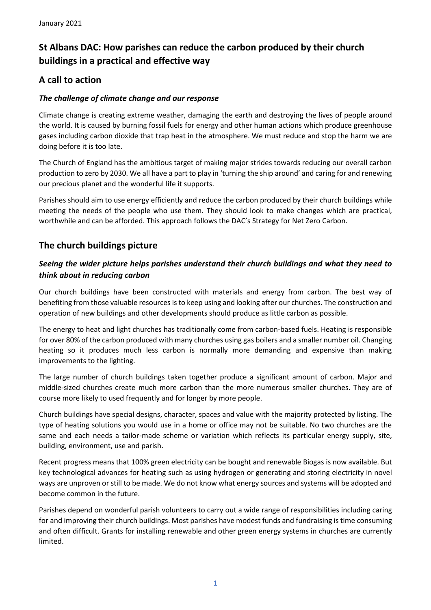# **St Albans DAC: How parishes can reduce the carbon produced by their church buildings in a practical and effective way**

# **A call to action**

### *The challenge of climate change and our response*

Climate change is creating extreme weather, damaging the earth and destroying the lives of people around the world. It is caused by burning fossil fuels for energy and other human actions which produce greenhouse gases including carbon dioxide that trap heat in the atmosphere. We must reduce and stop the harm we are doing before it is too late.

The Church of England has the ambitious target of making major strides towards reducing our overall carbon production to zero by 2030. We all have a part to play in 'turning the ship around' and caring for and renewing our precious planet and the wonderful life it supports.

Parishes should aim to use energy efficiently and reduce the carbon produced by their church buildings while meeting the needs of the people who use them. They should look to make changes which are practical, worthwhile and can be afforded. This approach follows the DAC's Strategy for Net Zero Carbon.

### **The church buildings picture**

### *Seeing the wider picture helps parishes understand their church buildings and what they need to think about in reducing carbon*

Our church buildings have been constructed with materials and energy from carbon. The best way of benefiting from those valuable resources is to keep using and looking after our churches. The construction and operation of new buildings and other developments should produce as little carbon as possible.

The energy to heat and light churches has traditionally come from carbon-based fuels. Heating is responsible for over 80% of the carbon produced with many churches using gas boilers and a smaller number oil. Changing heating so it produces much less carbon is normally more demanding and expensive than making improvements to the lighting.

The large number of church buildings taken together produce a significant amount of carbon. Major and middle-sized churches create much more carbon than the more numerous smaller churches. They are of course more likely to used frequently and for longer by more people.

Church buildings have special designs, character, spaces and value with the majority protected by listing. The type of heating solutions you would use in a home or office may not be suitable. No two churches are the same and each needs a tailor-made scheme or variation which reflects its particular energy supply, site, building, environment, use and parish.

Recent progress means that 100% green electricity can be bought and renewable Biogas is now available. But key technological advances for heating such as using hydrogen or generating and storing electricity in novel ways are unproven or still to be made. We do not know what energy sources and systems will be adopted and become common in the future.

Parishes depend on wonderful parish volunteers to carry out a wide range of responsibilities including caring for and improving their church buildings. Most parishes have modest funds and fundraising is time consuming and often difficult. Grants for installing renewable and other green energy systems in churches are currently limited.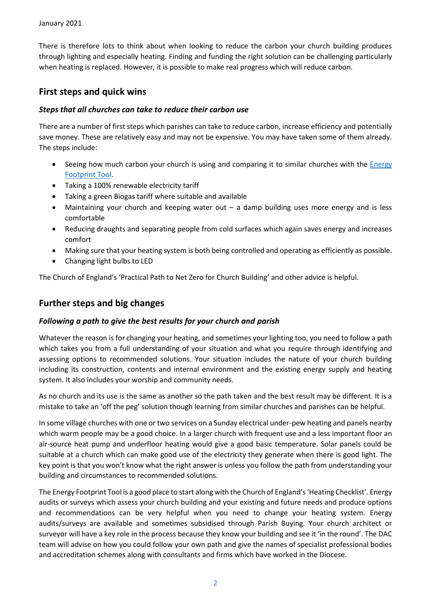There is therefore lots to think about when looking to reduce the carbon your church building produces through lighting and especially heating. Finding and funding the right solution can be challenging particularly when heating is replaced. However, it is possible to make real progress which will reduce carbon.

# **First steps and quick wins**

#### *Steps that all churches can take to reduce their carbon use*

There are a number of first steps which parishes can take to reduce carbon, increase efficiency and potentially save money. These are relatively easy and may not be expensive. You may have taken some of them already. The steps include:

- Seeing how much carbon your church is using and comparing it to similar churches with the Energy [Footprint Tool.](https://www.stalbans.anglican.org/dac/energy-footprint/)
- Taking a 100% renewable electricity tariff
- Taking a green Biogas tariff where suitable and available
- Maintaining your church and keeping water out a damp building uses more energy and is less comfortable
- Reducing draughts and separating people from cold surfaces which again saves energy and increases comfort
- Making sure that your heating system is both being controlled and operating as efficiently as possible.
- Changing light bulbs to LED

The Church of England's 'Practical Path to Net Zero for Church Building' and other advice is helpful.

### **Further steps and big changes**

#### *Following a path to give the best results for your church and parish*

Whatever the reason is for changing your heating, and sometimes your lighting too, you need to follow a path which takes you from a full understanding of your situation and what you require through identifying and assessing options to recommended solutions. Your situation includes the nature of your church building including its construction, contents and internal environment and the existing energy supply and heating system. It also includes your worship and community needs.

As no church and its use is the same as another so the path taken and the best result may be different. It is a mistake to take an 'off the peg' solution though learning from similar churches and parishes can be helpful.

In some village churches with one or two services on a Sunday electrical under-pew heating and panels nearby which warm people may be a good choice. In a larger church with frequent use and a less important floor an air-source heat pump and underfloor heating would give a good basic temperature. Solar panels could be suitable at a church which can make good use of the electricity they generate when there is good light. The key point is that you won't know what the right answer is unless you follow the path from understanding your building and circumstances to recommended solutions.

The Energy Footprint Tool is a good place to start along with the Church of England's 'Heating Checklist'. Energy audits or surveys which assess your church building and your existing and future needs and produce options and recommendations can be very helpful when you need to change your heating system. Energy audits/surveys are available and sometimes subsidised through Parish Buying. Your church architect or surveyor will have a key role in the process because they know your building and see it 'in the round'. The DAC team will advise on how you could follow your own path and give the names of specialist professional bodies and accreditation schemes along with consultants and firms which have worked in the Diocese.